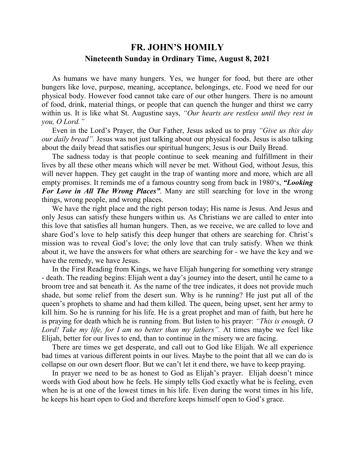## **FR. JOHN'S HOMILY Nineteenth Sunday in Ordinary Time, August 8, 2021**

 As humans we have many hungers. Yes, we hunger for food, but there are other hungers like love, purpose, meaning, acceptance, belongings, etc. Food we need for our physical body. However food cannot take care of our other hungers. There is no amount of food, drink, material things, or people that can quench the hunger and thirst we carry within us. It is like what St. Augustine says, *"Our hearts are restless until they rest in you, O Lord."* 

 Even in the Lord's Prayer, the Our Father, Jesus asked us to pray *"Give us this day our daily bread".* Jesus was not just talking about our physical foods. Jesus is also talking about the daily bread that satisfies our spiritual hungers; Jesus is our Daily Bread.

 The sadness today is that people continue to seek meaning and fulfillment in their lives by all these other means which will never be met. Without God, without Jesus, this will never happen. They get caught in the trap of wanting more and more, which are all empty promises. It reminds me of a famous country song from back in 1980's, *"Looking For Love in All The Wrong Places"*. Many are still searching for love in the wrong things, wrong people, and wrong places.

 We have the right place and the right person today; His name is Jesus. And Jesus and only Jesus can satisfy these hungers within us. As Christians we are called to enter into this love that satisfies all human hungers. Then, as we receive, we are called to love and share God's love to help satisfy this deep hunger that others are searching for. Christ's mission was to reveal God's love; the only love that can truly satisfy. When we think about it, we have the answers for what others are searching for - we have the key and we have the remedy, we have Jesus.

 In the First Reading from Kings, we have Elijah hungering for something very strange - death. The reading begins: Elijah went a day's journey into the desert, until he came to a broom tree and sat beneath it. As the name of the tree indicates, it does not provide much shade, but some relief from the desert sun. Why is he running? He just put all of the queen's prophets to shame and had them killed. The queen, being upset, sent her army to kill him. So he is running for his life. He is a great prophet and man of faith, but here he is praying for death which he is running from. But listen to his prayer: *"This is enough, O Lord! Take my life, for I am no better than my fathers".* At times maybe we feel like Elijah, better for our lives to end, than to continue in the misery we are facing.

 There are times we get desperate, and call out to God like Elijah. We all experience bad times at various different points in our lives. Maybe to the point that all we can do is collapse on our own desert floor. But we can't let it end there, we have to keep praying.

 In prayer we need to be as honest to God as Elijah's prayer. Elijah doesn't mince words with God about how he feels. He simply tells God exactly what he is feeling, even when he is at one of the lowest times in his life. Even during the worst times in his life, he keeps his heart open to God and therefore keeps himself open to God's grace.